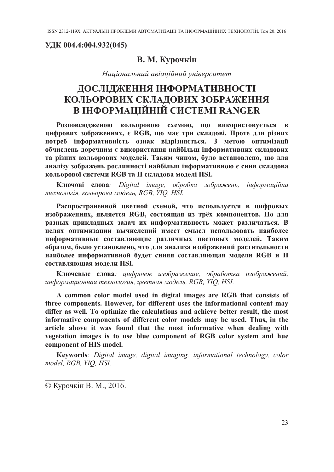УДК 004.4:004.932(045)

## В. М. Курочкін

Національний авіаційний університет

## ДОСЛІДЖЕННЯ ІНФОРМАТИВНОСТІ КОЛЬОРОВИХ СКЛАДОВИХ ЗОБРАЖЕННЯ В ІНФОРМАЦІЙНІЙ СИСТЕМІ RANGER

Розповсюдженою кольоровою схемою, що використовується в цифрових зображеннях, є RGB, що має три складові. Проте для різних потреб інформативність ознак відрізняється. З метою оптимізації обчислень доречним є використання найбільш інформативних складових та різних кольорових моделей. Таким чином, було встановлено, що для аналізу зображень рослинності найбільш інформативною є синя складова кольорової системи RGB та Н складова моделі HSI.

Ключові слова: Digital image, обробка зображень, інформаційна технологія, кольорова модель, RGB, YIQ, HSI.

Распространенной цветной схемой, что используется в цифровых изображениях, является RGB, состоящая из трёх компонентов. Но для разных прикладных задач их информативность может различаться. В целях оптимизации вычислений имеет смысл использовать наиболее информативные составляющие различных цветовых моделей. Таким образом, было установлено, что для анализа изображений растительности наиболее информативной будет синяя составляющая модели RGB и H составляющая молели HSI.

Ключевые слова: цифровое изображение, обработка изображений, информационная технология, цветная модель, RGB, YIQ, HSI.

A common color model used in digital images are RGB that consists of three components. However, for different uses the informational content may differ as well. To optimize the calculations and achieve better result, the most informative components of different color models may be used. Thus, in the article above it was found that the most informative when dealing with vegetation images is to use blue component of RGB color system and hue component of HIS model.

Keywords: Digital image, digital imaging, informational technology, color model, RGB, YIQ, HSI.

© Курочкін В. М., 2016.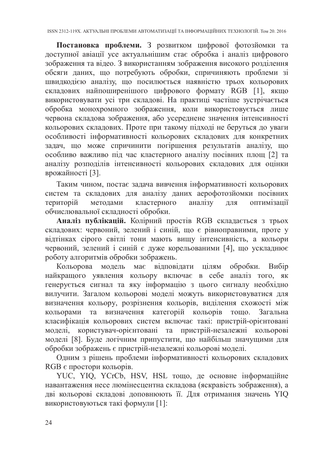Постановка проблеми. 3 розвитком цифрової фотозйомки та<br>доступної авіації усе актуальнішим стає обробка і аналіз цифрового<br>зображення та відео. 3 використанням зображення високого розділення<br>обсяти даних, що потребують обр задач, що може спричинити погіршення результатів аналізу, що<br>особливо важливо під час кластерного аналізу посівних площ [2] та<br>аналізу розподілів інтенсивності кольорових складових для оцінки врожайності [3].

Таким чином, постає задача вивчення інформативності кольорових систем та складових для аналізу даних аерофотозйомки посівних територій методами кластерного аналізу для оптимізації

територии методами кластерного анализу для оптимизации<br>обчислювальної складності обробки.<br>**Аналіз публікацій.** Колірний простів RGB складається з трьох<br>складових: червоний, зелений і синій, що є рівноправними, проте у<br>від роботу алгоритмів обробки зображень.

роботу алгоритмів обробки зображень.<br>
Кольорова модель має відповідати цілям обробки. Вибір найкращого уявлення кольору включає в себе аналіз того, як генерується сигнал та яку інформацію з цього сигналу необхідно вилучит

RGB є простори кольорів.

тель с простори кольоры.<br>YUC, YIQ, YCrCb, HSV, HSL тощо, де основне інформаційне навантаження несе люмінесцентна складова (яскравість зображення), а дві кольорові складові доповнюють її. Для отримання значень YIQ<br>використовуються такі формули [1]: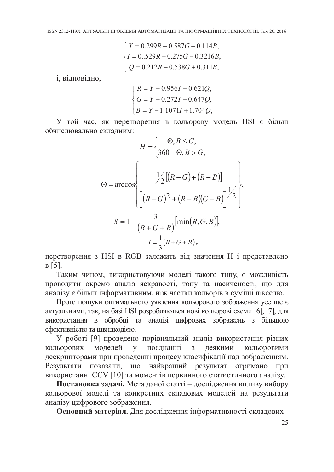$$
\begin{cases}\nY = 0.299R + 0.587G + 0.114B, \\
I = 0.529R - 0.275G - 0.3216B, \\
Q = 0.212R - 0.538G + 0.311B,\n\end{cases}
$$

і, відповідно,

$$
\begin{cases}\nR = Y + 0.956I + 0.621Q, \\
G = Y - 0.272I - 0.647Q, \\
B = Y - 1.1071I + 1.704Q,\n\end{cases}
$$

У той час, як перетворення в кольорову модель HSI є більш обчислювально складним:

$$
H = \begin{cases} \n\Theta, B \le G, \\ \n360 - \Theta, B > G, \n\end{cases}
$$
\n
$$
\Theta = \arccos \left\{ \frac{\frac{1}{2} \left[ (R - G) + (R - B) \right]}{\left[ (R - G)^2 + (R - B)(G - B) \right]^{\frac{1}{2}}} \right\},
$$
\n
$$
S = 1 - \frac{3}{(R + G + B)} [\min(R, G, B)],
$$
\n
$$
I = \frac{1}{2} (R + G + B),
$$

перетворення з HSI в RGB залежить від значення Н і представлено  $B[5]$ .

Таким чином, використовуючи моделі такого типу, є можливість проводити окремо аналіз яскравості, тону та насиченості, що для аналізу є більш інформативним, ніж частки кольорів в суміші пікселю.

Проте пошуки оптимального уявлення кольорового зображення усе ще є актуальними, так, на базі HSI розробляються нові кольорові схеми [6], [7], для використання в обробці та аналізі цифрових зображень з більшою ефективністю та швидкодією.

У роботі [9] проведено порівняльний аналіз використання різних кольорових моделей у поєднанні з деякими кольоровими дескрипторами при проведенні процесу класифікації над зображенням. Результати показали, що найкращий результат отримано при використанні CCV [10] та моментів первинного статистичного аналізу.

Постановка задачі. Мета даної статті - дослідження впливу вибору кольорової моделі та конкретних складових моделей на результати аналізу цифрового зображення.

Основний матеріал. Для дослідження інформативності складових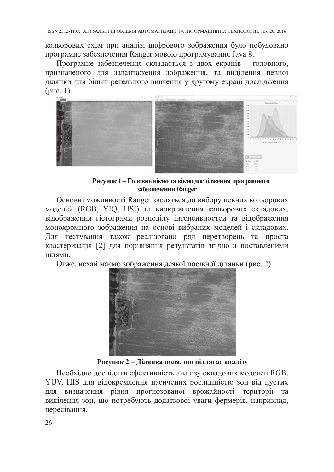кольорових схем при аналізі цифрового зображення було побудовано

програмне забезпечення Ranger мовою програмування Java 8.<br>Програмне забезпечення складається з двох екранів - головного, призначеного для завантаження зображення, та виділення певної ділянки для більш ретельного вивчення у (рис. 1).



Рисунок 1 - Головне вікно та вікно дослідження програмного забезпечення Ranger

Основні можливості Ranger зводяться до вибору певних кольорових<br>моделей (RGB, YIQ, HSI) та виокремлення кольорових складових,<br>відображення гістограми розподілу інтенсивностей та відображення<br>монохромного зображення на осн цілями.

Отже, нехай маємо зображення деякої посівної ділянки (рис. 2).



Рисунок 2 - Ділянка поля, що підлягає аналізу

Необхідно дослідити ефективність аналізу складових моделей RGB, YUV, HIS для відокремлення насичених рослинністю зон від пустих для визначення рівня прогнозованої врожайності території та виділення зон, що потребують дода пересівання.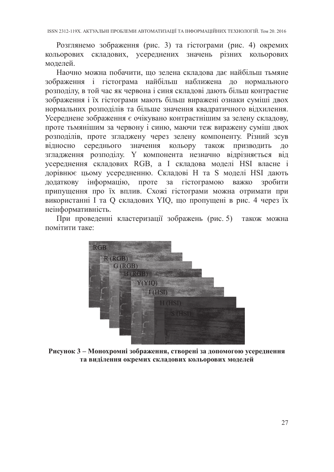Розглянемо зображення (рис. 3) та гістограми (рис. 4) окремих кольорових складових, усереднених значень різних кольорових моделей.

Наочно можна побачити, що зелена складова дає найбільш тьмяне зображення і гістограма найбільш наближена до нормального розподілу, в той час як червона і синя складові дають більш контрастне зображення і їх гістограми мають більш виражені ознаки суміші двох нормальних розподілів та більше значення квадратичного відхилення. нормальних розподиль та опыте значения квадратичного ыдхиления.<br>Усереднене зображення є очікувано контрастнішим за зелену складову, проте тьмянішим за червону і синю, маючи теж виражену суміш двох розподілів, проте згладже відносно середнього значення кольору також призводить до згладження розподілу. У компонента незначно відрізняється від усереднення складових RGB, а І складова моделі HSI власне і усереднення складових КОБ, а 1 складова моделі 1151 власне і дорівнює цьому усередненню. Складові Н та S моделі HSI дають додаткову інформацію, проте за гістограмою важко зробити припущення про їх вплив. Схожі гістограми неінформативність.

При проведенні кластеризації зображень (рис. 5) також можна помітити таке:



Рисунок 3 - Монохромні зображення, створені за допомогою усереднення та виділення окремих складових кольорових моделей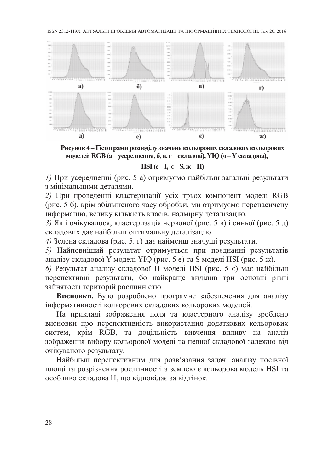ISSN 2312-119X. АКТУАЛЬНІ ПРОБЛЕМИ АВТОМАТИЗАЦІЇ ТА ІНФОРМАЦІЙНИХ ТЕХНОЛОГІЙ. Том 20. 2016



Рисунок 4 - Гістограми розподілу значень кольорових складових кольорових моделей RGB (а - усереднення, б, в, г - складові), YIQ (д - Y складова),

HSI (e-I,  $\epsilon$ -S,  $\kappa$ -H)

1) При усередненні (рис. 5 а) отримуємо найбільш загальні результати з мінімальними деталями.

2) При проведении систе с часто выдели податковых кольного подативно систему найольно за мнимальними деталями.<br>
2) При проведенни кластеризації усіх трьох компонент моделі RGB (рис. 5 6), крім збільшеного часу обробки, м

ислуванно результату.<br>Найбільш перспективним для розв'язання задачі аналізу посівної<br>площі та розрізнення рослинності з землею є кольорова модель HSI та<br>особливо складова Н, що відповідає за відтінок.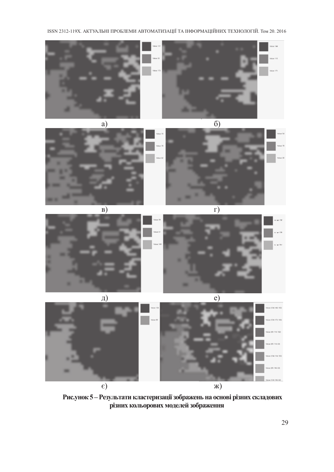ISSN 2312-119X. АКТУАЛЬНІ ПРОБЛЕМИ АВТОМАТИЗАЦІЇ ТА ІНФОРМАЦІЙНИХ ТЕХНОЛОГІЙ. Том 20. 2016







 $B)$ 



 $\Box$ )  $\overline{e)}$  $\epsilon$ )  $x)$ 

Рис.унок 5 – Результати кластеризації зображень на основі різних складових різних кольорових моделей зображення